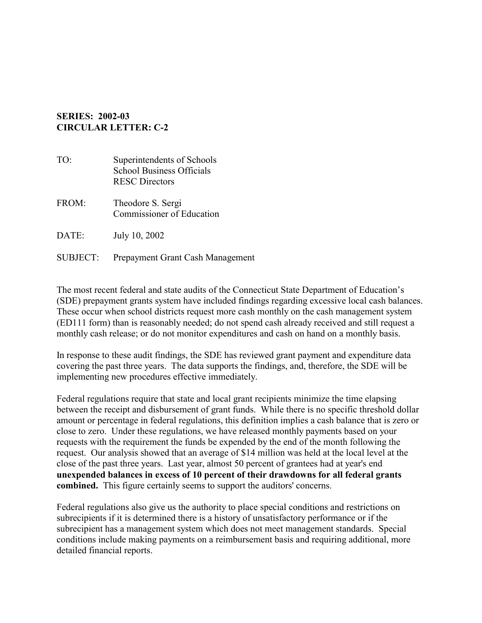## **SERIES: 2002-03 CIRCULAR LETTER: C-2**

- TO: Superintendents of Schools School Business Officials RESC Directors FROM: Theodore S. Sergi Commissioner of Education
- DATE: July 10, 2002
- SUBJECT: Prepayment Grant Cash Management

The most recent federal and state audits of the Connecticut State Department of Education's (SDE) prepayment grants system have included findings regarding excessive local cash balances. These occur when school districts request more cash monthly on the cash management system (ED111 form) than is reasonably needed; do not spend cash already received and still request a monthly cash release; or do not monitor expenditures and cash on hand on a monthly basis.

In response to these audit findings, the SDE has reviewed grant payment and expenditure data covering the past three years. The data supports the findings, and, therefore, the SDE will be implementing new procedures effective immediately.

Federal regulations require that state and local grant recipients minimize the time elapsing between the receipt and disbursement of grant funds. While there is no specific threshold dollar amount or percentage in federal regulations, this definition implies a cash balance that is zero or close to zero. Under these regulations, we have released monthly payments based on your requests with the requirement the funds be expended by the end of the month following the request. Our analysis showed that an average of \$14 million was held at the local level at the close of the past three years. Last year, almost 50 percent of grantees had at year's end **unexpended balances in excess of 10 percent of their drawdowns for all federal grants combined.** This figure certainly seems to support the auditors' concerns.

Federal regulations also give us the authority to place special conditions and restrictions on subrecipients if it is determined there is a history of unsatisfactory performance or if the subrecipient has a management system which does not meet management standards. Special conditions include making payments on a reimbursement basis and requiring additional, more detailed financial reports.